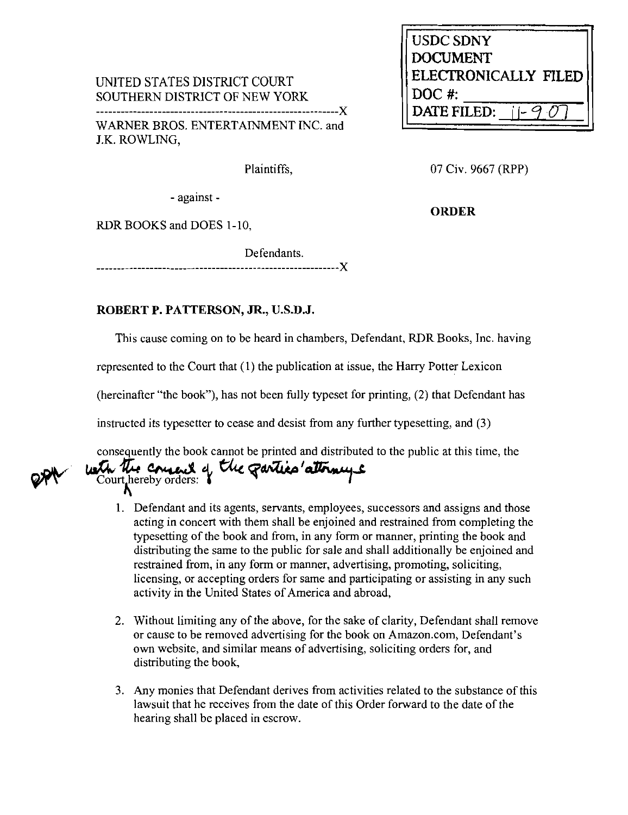UNITED STATES DISTRICT COURT SOUTHERN DISTRICT OF NEW YORK **z.** 

WARNER BROS. ENTERTAINMENT INC. and J.K. ROWLING,

Plaintiffs,

07 Civ. 9667 (RPP)

**ORDER** 

**USDC SDNY DOCUMENT** 

DATE FILED:

**ELECIRONICALLY FILED** 

- against -

RDR BOOKS and DOES 1-10,

Defendants.

## **ROBERT P. PATTERSON, JR., U.S.D.J.**

This cause coming on to be heard in chambers, Defendant, RDR Books, Inc. having

represented to the Court that (I) the publication at issue, the Harry Potter Lexicon

(hereinafter "the book"), has not been hlly typeset for printing, (2) that Defendant has

instructed its typesetter to cease and desist from any further typesetting, and (3)

consequently the book cannot be printed and distributed to the public at this time, the lust the count of the count of the count of the count of the count of the count of the count of the count of the count of the count of

- 1. Defendant and its agents, servants, employees, successors and assigns and those Detendant and its agents, servants, employees, successors and assigns and mose<br>acting in concert with them shall be enjoined and restrained from completing the typesetting of the book and from, in any form or manner, printing the book and distributing the same to the public for sale and shall additionally be enjoined and restrained from, in any form or manner, advertising, promoting, soliciting, licensing, or accepting orders for same and participating or assisting in any such activity in the United States of America and abroad,
- 2. Without limiting any of the above, for the sake of clarity, Defendant shall remove or cause to be removed advertising for the book on Amazon.com, Defendant's own website, and similar means of advertising, soliciting orders for, and distributing the book,
- 3. Any monies that Defendant derives from activities related to the substance of this lawsuit that he receives from the date of this Order forward to the date of the hearing shall be placed in escrow.